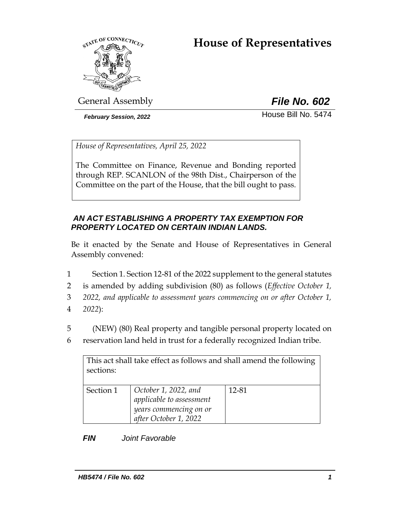# **House of Representatives**



General Assembly *File No. 602*

*February Session, 2022* House Bill No. 5474

*House of Representatives, April 25, 2022*

The Committee on Finance, Revenue and Bonding reported through REP. SCANLON of the 98th Dist., Chairperson of the Committee on the part of the House, that the bill ought to pass.

# *AN ACT ESTABLISHING A PROPERTY TAX EXEMPTION FOR PROPERTY LOCATED ON CERTAIN INDIAN LANDS.*

Be it enacted by the Senate and House of Representatives in General Assembly convened:

- 1 Section 1. Section 12-81 of the 2022 supplement to the general statutes
- 2 is amended by adding subdivision (80) as follows (*Effective October 1,*
- 3 *2022, and applicable to assessment years commencing on or after October 1,*
- 4 *2022*):

5 (NEW) (80) Real property and tangible personal property located on 6 reservation land held in trust for a federally recognized Indian tribe.

This act shall take effect as follows and shall amend the following sections:

| Section 1 | $\vert$ October 1, 2022, and | 12-81 |
|-----------|------------------------------|-------|
|           | applicable to assessment     |       |
|           | years commencing on or       |       |
|           | after October 1, 2022        |       |

*FIN Joint Favorable*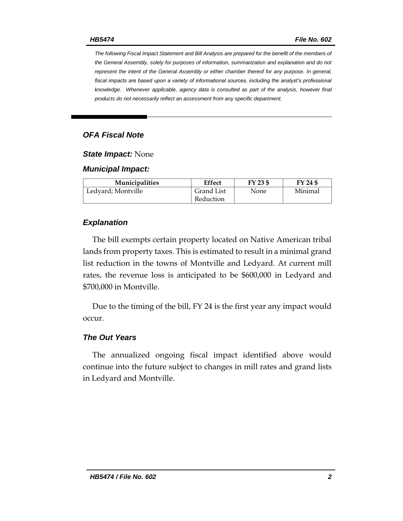*The following Fiscal Impact Statement and Bill Analysis are prepared for the benefit of the members of the General Assembly, solely for purposes of information, summarization and explanation and do not represent the intent of the General Assembly or either chamber thereof for any purpose. In general,*  fiscal impacts are based upon a variety of informational sources, including the analyst's professional *knowledge. Whenever applicable, agency data is consulted as part of the analysis, however final products do not necessarily reflect an assessment from any specific department.*

# *OFA Fiscal Note*

## *State Impact:* None

#### *Municipal Impact:*

| <b>Municipalities</b> | Effect     | FY 23 \$ | FY 24 \$ |
|-----------------------|------------|----------|----------|
| Ledyard; Montville    | Grand List | None     | Minimal  |
|                       | Reduction  |          |          |

## *Explanation*

The bill exempts certain property located on Native American tribal lands from property taxes. This is estimated to result in a minimal grand list reduction in the towns of Montville and Ledyard. At current mill rates, the revenue loss is anticipated to be \$600,000 in Ledyard and \$700,000 in Montville.

Due to the timing of the bill, FY 24 is the first year any impact would occur.

## *The Out Years*

The annualized ongoing fiscal impact identified above would continue into the future subject to changes in mill rates and grand lists in Ledyard and Montville.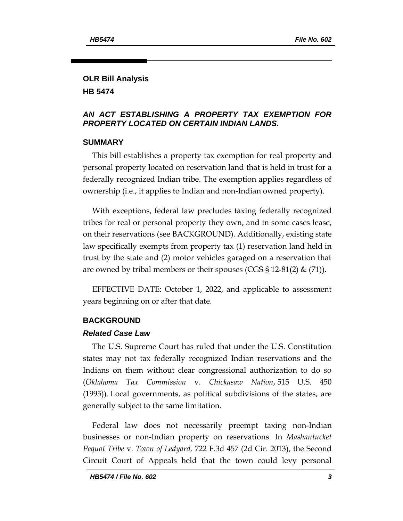## **OLR Bill Analysis HB 5474**

## *AN ACT ESTABLISHING A PROPERTY TAX EXEMPTION FOR PROPERTY LOCATED ON CERTAIN INDIAN LANDS.*

## **SUMMARY**

This bill establishes a property tax exemption for real property and personal property located on reservation land that is held in trust for a federally recognized Indian tribe. The exemption applies regardless of ownership (i.e., it applies to Indian and non-Indian owned property).

With exceptions, federal law precludes taxing federally recognized tribes for real or personal property they own, and in some cases lease, on their reservations (see BACKGROUND). Additionally, existing state law specifically exempts from property tax (1) reservation land held in trust by the state and (2) motor vehicles garaged on a reservation that are owned by tribal members or their spouses (CGS § 12-81(2) & (71)).

EFFECTIVE DATE: October 1, 2022, and applicable to assessment years beginning on or after that date.

## **BACKGROUND**

#### *Related Case Law*

The U.S. Supreme Court has ruled that under the U.S. Constitution states may not tax federally recognized Indian reservations and the Indians on them without clear congressional authorization to do so (*Oklahoma Tax Commission* v. *Chickasaw Nation*, 515 U.S. 450 (1995)). Local governments, as political subdivisions of the states, are generally subject to the same limitation.

Federal law does not necessarily preempt taxing non-Indian businesses or non-Indian property on reservations. In *Mashantucket Pequot Tribe* v. *Town of Ledyard,* 722 F.3d 457 (2d Cir. 2013), the Second Circuit Court of Appeals held that the town could levy personal